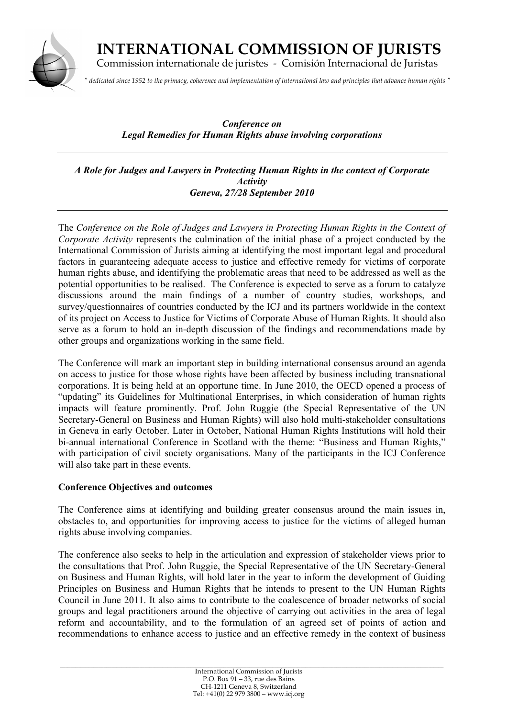

 **INTERNATIONAL COMMISSION OF JURISTS** Commission internationale de juristes - Comisión Internacional de Juristas

*" dedicated since 1952 to the primacy, coherence and implementation of international law and principles that advance human rights "*

*Conference on Legal Remedies for Human Rights abuse involving corporations*

*A Role for Judges and Lawyers in Protecting Human Rights in the context of Corporate Activity Geneva, 27/28 September 2010*

The *Conference on the Role of Judges and Lawyers in Protecting Human Rights in the Context of Corporate Activity* represents the culmination of the initial phase of a project conducted by the International Commission of Jurists aiming at identifying the most important legal and procedural factors in guaranteeing adequate access to justice and effective remedy for victims of corporate human rights abuse, and identifying the problematic areas that need to be addressed as well as the potential opportunities to be realised. The Conference is expected to serve as a forum to catalyze discussions around the main findings of a number of country studies, workshops, and survey/questionnaires of countries conducted by the ICJ and its partners worldwide in the context of its project on Access to Justice for Victims of Corporate Abuse of Human Rights. It should also serve as a forum to hold an in-depth discussion of the findings and recommendations made by other groups and organizations working in the same field.

The Conference will mark an important step in building international consensus around an agenda on access to justice for those whose rights have been affected by business including transnational corporations. It is being held at an opportune time. In June 2010, the OECD opened a process of "updating" its Guidelines for Multinational Enterprises, in which consideration of human rights impacts will feature prominently. Prof. John Ruggie (the Special Representative of the UN Secretary-General on Business and Human Rights) will also hold multi-stakeholder consultations in Geneva in early October. Later in October, National Human Rights Institutions will hold their bi-annual international Conference in Scotland with the theme: "Business and Human Rights," with participation of civil society organisations. Many of the participants in the ICJ Conference will also take part in these events.

## **Conference Objectives and outcomes**

The Conference aims at identifying and building greater consensus around the main issues in, obstacles to, and opportunities for improving access to justice for the victims of alleged human rights abuse involving companies.

The conference also seeks to help in the articulation and expression of stakeholder views prior to the consultations that Prof. John Ruggie, the Special Representative of the UN Secretary-General on Business and Human Rights, will hold later in the year to inform the development of Guiding Principles on Business and Human Rights that he intends to present to the UN Human Rights Council in June 2011. It also aims to contribute to the coalescence of broader networks of social groups and legal practitioners around the objective of carrying out activities in the area of legal reform and accountability, and to the formulation of an agreed set of points of action and recommendations to enhance access to justice and an effective remedy in the context of business